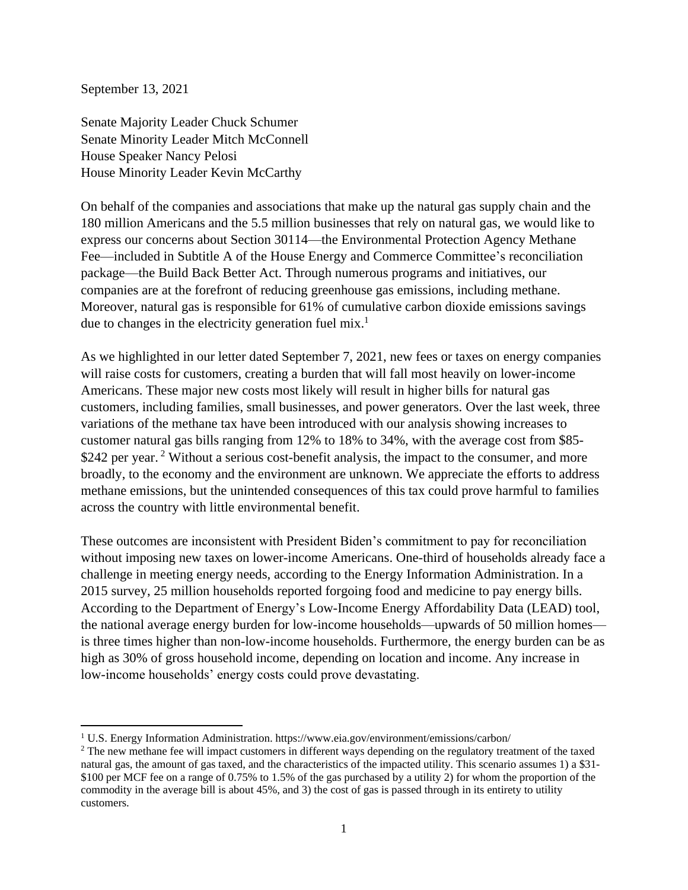September 13, 2021

Senate Majority Leader Chuck Schumer Senate Minority Leader Mitch McConnell House Speaker Nancy Pelosi House Minority Leader Kevin McCarthy

On behalf of the companies and associations that make up the natural gas supply chain and the 180 million Americans and the 5.5 million businesses that rely on natural gas, we would like to express our concerns about Section 30114—the Environmental Protection Agency Methane Fee—included in Subtitle A of the House Energy and Commerce Committee's reconciliation package—the Build Back Better Act. Through numerous programs and initiatives, our companies are at the forefront of reducing greenhouse gas emissions, including methane. Moreover, natural gas is responsible for 61% of cumulative carbon dioxide emissions savings due to changes in the electricity generation fuel mix.<sup>1</sup>

As we highlighted in our letter dated September 7, 2021, new fees or taxes on energy companies will raise costs for customers, creating a burden that will fall most heavily on lower-income Americans. These major new costs most likely will result in higher bills for natural gas customers, including families, small businesses, and power generators. Over the last week, three variations of the methane tax have been introduced with our analysis showing increases to customer natural gas bills ranging from 12% to 18% to 34%, with the average cost from \$85- \$242 per year.<sup>2</sup> Without a serious cost-benefit analysis, the impact to the consumer, and more broadly, to the economy and the environment are unknown. We appreciate the efforts to address methane emissions, but the unintended consequences of this tax could prove harmful to families across the country with little environmental benefit.

These outcomes are inconsistent with President Biden's commitment to pay for reconciliation without imposing new taxes on lower-income Americans. One-third of households already face a challenge in meeting energy needs, according to the Energy Information Administration. In a 2015 survey, 25 million households reported forgoing food and medicine to pay energy bills. According to the Department of Energy's Low-Income Energy Affordability Data (LEAD) tool, the national average energy burden for low-income households—upwards of 50 million homes is three times higher than non-low-income households. Furthermore, the energy burden can be as high as 30% of gross household income, depending on location and income. Any increase in low-income households' energy costs could prove devastating.

<sup>1</sup> U.S. Energy Information Administration. https://www.eia.gov/environment/emissions/carbon/

<sup>&</sup>lt;sup>2</sup> The new methane fee will impact customers in different ways depending on the regulatory treatment of the taxed natural gas, the amount of gas taxed, and the characteristics of the impacted utility. This scenario assumes 1) a \$31- \$100 per MCF fee on a range of 0.75% to 1.5% of the gas purchased by a utility 2) for whom the proportion of the commodity in the average bill is about 45%, and 3) the cost of gas is passed through in its entirety to utility customers.